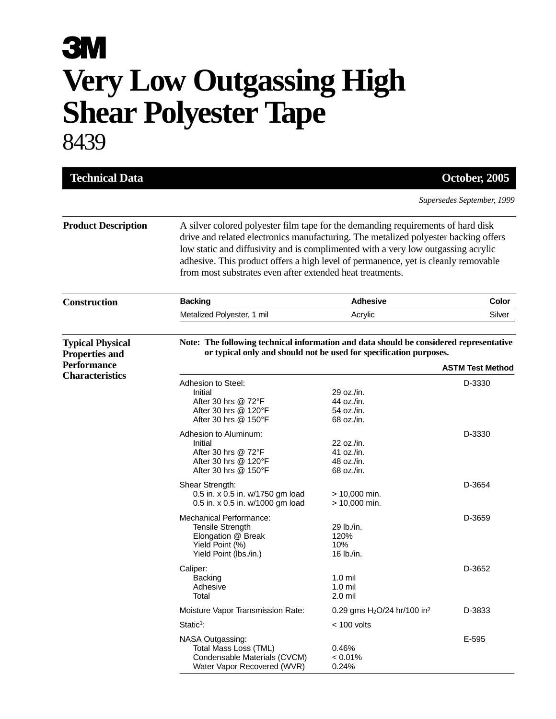## **3M Very Low Outgassing High Shear Polyester Tape** 8439

| <b>Technical Data</b>                                                  |                                                                                                                                                                                                                                                                                                                                                                                                                 |                                                      | October, 2005 |  |
|------------------------------------------------------------------------|-----------------------------------------------------------------------------------------------------------------------------------------------------------------------------------------------------------------------------------------------------------------------------------------------------------------------------------------------------------------------------------------------------------------|------------------------------------------------------|---------------|--|
|                                                                        | Supersedes September, 1999                                                                                                                                                                                                                                                                                                                                                                                      |                                                      |               |  |
| <b>Product Description</b>                                             | A silver colored polyester film tape for the demanding requirements of hard disk<br>drive and related electronics manufacturing. The metalized polyester backing offers<br>low static and diffusivity and is complimented with a very low outgassing acrylic<br>adhesive. This product offers a high level of permanence, yet is cleanly removable<br>from most substrates even after extended heat treatments. |                                                      |               |  |
| <b>Construction</b>                                                    | <b>Backing</b>                                                                                                                                                                                                                                                                                                                                                                                                  | <b>Adhesive</b>                                      | Color         |  |
|                                                                        | Metalized Polyester, 1 mil                                                                                                                                                                                                                                                                                                                                                                                      | Acrylic                                              | Silver        |  |
| <b>Typical Physical</b><br><b>Properties and</b><br><b>Performance</b> | Note: The following technical information and data should be considered representative<br>or typical only and should not be used for specification purposes.<br><b>ASTM Test Method</b>                                                                                                                                                                                                                         |                                                      |               |  |
| <b>Characteristics</b>                                                 | Adhesion to Steel:<br>Initial<br>After 30 hrs @ 72°F<br>After 30 hrs @ 120°F<br>After 30 hrs $@$ 150°F                                                                                                                                                                                                                                                                                                          | 29 oz./in.<br>44 oz./in.<br>54 oz./in.<br>68 oz./in. | D-3330        |  |
|                                                                        | Adhesion to Aluminum:<br>Initial<br>After 30 hrs @ 72°F<br>After 30 hrs @ 120°F<br>After 30 hrs $@$ 150 $\degree$ F                                                                                                                                                                                                                                                                                             | 22 oz./in.<br>41 oz./in.<br>48 oz./in.<br>68 oz./in. | D-3330        |  |
|                                                                        | Shear Strength:<br>0.5 in. x 0.5 in. w/1750 gm load<br>0.5 in. x 0.5 in. w/1000 gm load                                                                                                                                                                                                                                                                                                                         | $> 10,000$ min.<br>$> 10,000$ min.                   | D-3654        |  |
|                                                                        | <b>Mechanical Performance:</b><br>Tensile Strength<br>Elongation @ Break<br>Yield Point (%)<br>Yield Point (lbs./in.)                                                                                                                                                                                                                                                                                           | 29 lb./in.<br>120%<br>10%<br>16 lb./in.              | D-3659        |  |
|                                                                        | Caliper:<br>Backing<br>Adhesive<br>Total                                                                                                                                                                                                                                                                                                                                                                        | $1.0 \text{ mil}$<br>$1.0$ mil<br>2.0 mil            | D-3652        |  |
|                                                                        | Moisture Vapor Transmission Rate:                                                                                                                                                                                                                                                                                                                                                                               | 0.29 gms $H2O/24$ hr/100 in <sup>2</sup>             | D-3833        |  |
|                                                                        | $Static1$ :                                                                                                                                                                                                                                                                                                                                                                                                     | $< 100$ volts                                        |               |  |
|                                                                        | NASA Outgassing:<br>Total Mass Loss (TML)<br>Condensable Materials (CVCM)<br>Water Vapor Recovered (WVR)                                                                                                                                                                                                                                                                                                        | 0.46%<br>$< 0.01\%$<br>0.24%                         | E-595         |  |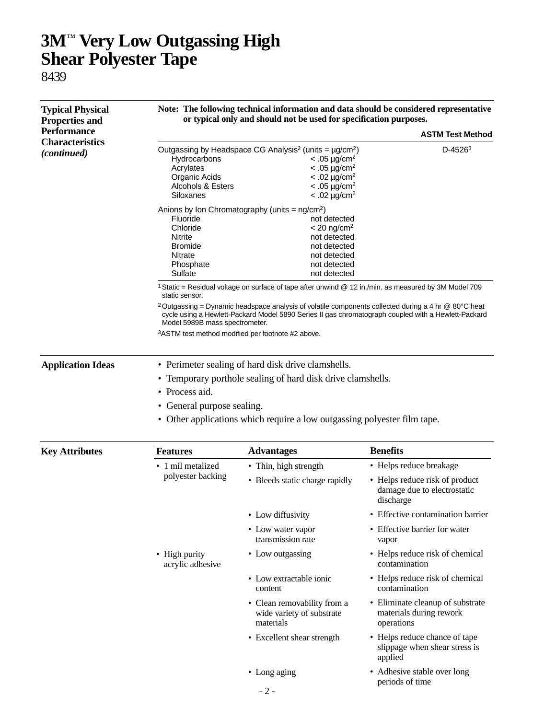## **3M**™ **Very Low Outgassing High Shear Polyester Tape**

8439

| <b>Typical Physical</b><br><b>Properties and</b><br><b>Performance</b><br><b>Characteristics</b><br><i>(continued)</i> | Note: The following technical information and data should be considered representative<br>or typical only and should not be used for specification purposes.<br><b>ASTM Test Method</b>                                                                                                                                                                                             |                                                                                                                                                                               |                                                                            |  |                                                                              |
|------------------------------------------------------------------------------------------------------------------------|-------------------------------------------------------------------------------------------------------------------------------------------------------------------------------------------------------------------------------------------------------------------------------------------------------------------------------------------------------------------------------------|-------------------------------------------------------------------------------------------------------------------------------------------------------------------------------|----------------------------------------------------------------------------|--|------------------------------------------------------------------------------|
|                                                                                                                        |                                                                                                                                                                                                                                                                                                                                                                                     |                                                                                                                                                                               |                                                                            |  | Hydrocarbons<br>Acrylates<br>Organic Acids<br>Alcohols & Esters<br>Siloxanes |
|                                                                                                                        | Fluoride<br>Chloride<br>Nitrite<br><b>Bromide</b><br>Nitrate<br>Phosphate<br>Sulfate                                                                                                                                                                                                                                                                                                | Anions by Ion Chromatography (units = $ng/cm2$ )<br>not detected<br>$< 20$ ng/cm <sup>2</sup><br>not detected<br>not detected<br>not detected<br>not detected<br>not detected |                                                                            |  |                                                                              |
|                                                                                                                        | 1 Static = Residual voltage on surface of tape after unwind @ 12 in./min. as measured by 3M Model 709<br>static sensor.<br><sup>2</sup> Outgassing = Dynamic headspace analysis of volatile components collected during a 4 hr @ 80°C heat<br>cycle using a Hewlett-Packard Model 5890 Series II gas chromatograph coupled with a Hewlett-Packard<br>Model 5989B mass spectrometer. |                                                                                                                                                                               |                                                                            |  |                                                                              |
|                                                                                                                        | 3ASTM test method modified per footnote #2 above.                                                                                                                                                                                                                                                                                                                                   |                                                                                                                                                                               |                                                                            |  |                                                                              |
|                                                                                                                        | <b>Application Ideas</b>                                                                                                                                                                                                                                                                                                                                                            | • Perimeter sealing of hard disk drive clamshells.<br>Temporary porthole sealing of hard disk drive clamshells.<br>٠<br>• Process aid.                                        |                                                                            |  |                                                                              |
|                                                                                                                        |                                                                                                                                                                                                                                                                                                                                                                                     |                                                                                                                                                                               |                                                                            |  |                                                                              |
|                                                                                                                        | • General purpose sealing.<br>• Other applications which require a low outgassing polyester film tape.                                                                                                                                                                                                                                                                              |                                                                                                                                                                               |                                                                            |  |                                                                              |
|                                                                                                                        |                                                                                                                                                                                                                                                                                                                                                                                     |                                                                                                                                                                               |                                                                            |  |                                                                              |
| <b>Key Attributes</b>                                                                                                  | <b>Features</b>                                                                                                                                                                                                                                                                                                                                                                     | <b>Advantages</b>                                                                                                                                                             | <b>Benefits</b>                                                            |  |                                                                              |
|                                                                                                                        | • 1 mil metalized                                                                                                                                                                                                                                                                                                                                                                   | • Thin, high strength                                                                                                                                                         | • Helps reduce breakage                                                    |  |                                                                              |
|                                                                                                                        | polyester backing                                                                                                                                                                                                                                                                                                                                                                   | • Bleeds static charge rapidly                                                                                                                                                | • Helps reduce risk of product<br>damage due to electrostatic<br>discharge |  |                                                                              |
|                                                                                                                        |                                                                                                                                                                                                                                                                                                                                                                                     | • Low diffusivity                                                                                                                                                             | • Effective contamination barrier                                          |  |                                                                              |
|                                                                                                                        |                                                                                                                                                                                                                                                                                                                                                                                     | • Low water vapor<br>transmission rate                                                                                                                                        | • Effective barrier for water<br>vapor                                     |  |                                                                              |
|                                                                                                                        | • High purity<br>acrylic adhesive                                                                                                                                                                                                                                                                                                                                                   | • Low outgassing                                                                                                                                                              | • Helps reduce risk of chemical<br>contamination                           |  |                                                                              |
|                                                                                                                        |                                                                                                                                                                                                                                                                                                                                                                                     | • Low extractable ionic<br>content                                                                                                                                            | • Helps reduce risk of chemical<br>contamination                           |  |                                                                              |
|                                                                                                                        |                                                                                                                                                                                                                                                                                                                                                                                     | • Clean removability from a<br>wide variety of substrate<br>materials                                                                                                         | • Eliminate cleanup of substrate<br>materials during rework<br>operations  |  |                                                                              |
|                                                                                                                        |                                                                                                                                                                                                                                                                                                                                                                                     | • Excellent shear strength                                                                                                                                                    | • Helps reduce chance of tape<br>slippage when shear stress is<br>applied  |  |                                                                              |
|                                                                                                                        |                                                                                                                                                                                                                                                                                                                                                                                     | • Long aging                                                                                                                                                                  | • Adhesive stable over long<br>periods of time                             |  |                                                                              |